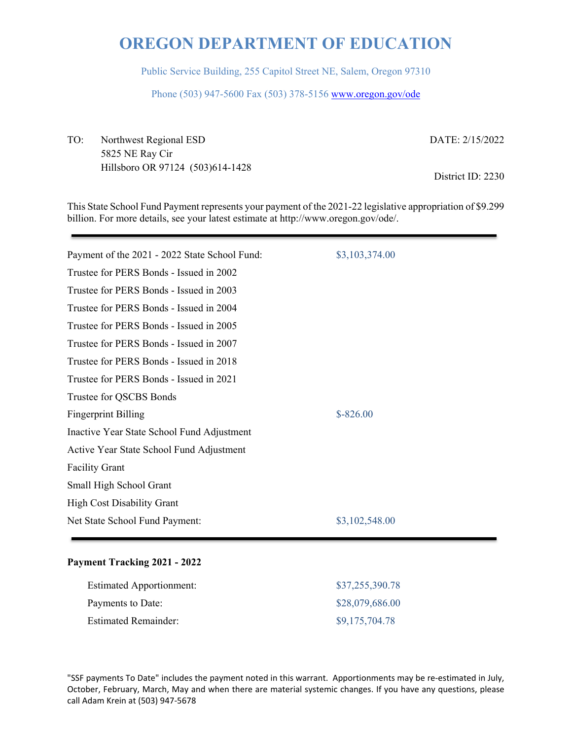Public Service Building, 255 Capitol Street NE, Salem, Oregon 97310

Phone (503) 947-5600 Fax (503) 378-5156 www.oregon.gov/ode

TO: Northwest Regional ESD DATE: 2/15/2022 5825 NE Ray Cir Hillsboro OR 97124 (503)614-1428<br>
District ID: 2230

This State School Fund Payment represents your payment of the 2021-22 legislative appropriation of \$9.299 billion. For more details, see your latest estimate at http://www.oregon.gov/ode/.

| Payment of the 2021 - 2022 State School Fund: | \$3,103,374.00 |
|-----------------------------------------------|----------------|
| Trustee for PERS Bonds - Issued in 2002       |                |
| Trustee for PERS Bonds - Issued in 2003       |                |
| Trustee for PERS Bonds - Issued in 2004       |                |
| Trustee for PERS Bonds - Issued in 2005       |                |
| Trustee for PERS Bonds - Issued in 2007       |                |
| Trustee for PERS Bonds - Issued in 2018       |                |
| Trustee for PERS Bonds - Issued in 2021       |                |
| Trustee for QSCBS Bonds                       |                |
| <b>Fingerprint Billing</b>                    | $$ -826.00$    |
| Inactive Year State School Fund Adjustment    |                |
| Active Year State School Fund Adjustment      |                |
| <b>Facility Grant</b>                         |                |
| Small High School Grant                       |                |
| <b>High Cost Disability Grant</b>             |                |
| Net State School Fund Payment:                | \$3,102,548.00 |
|                                               |                |

### **Payment Tracking 2021 - 2022**

| <b>Estimated Apportionment:</b> | \$37,255,390.78 |
|---------------------------------|-----------------|
| Payments to Date:               | \$28,079,686.00 |
| <b>Estimated Remainder:</b>     | \$9,175,704.78  |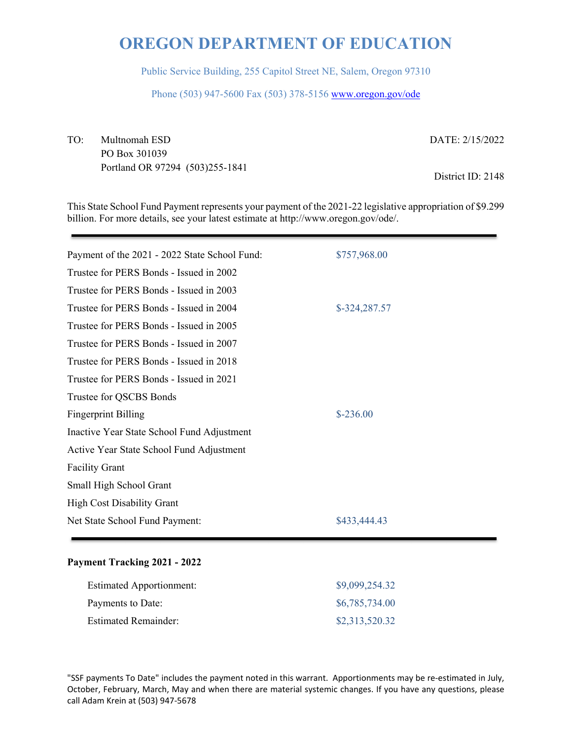Public Service Building, 255 Capitol Street NE, Salem, Oregon 97310

Phone (503) 947-5600 Fax (503) 378-5156 www.oregon.gov/ode

TO: Multnomah ESD DATE: 2/15/2022 PO Box 301039 Portland OR 97294 (503)255-1841 District ID: 2148

This State School Fund Payment represents your payment of the 2021-22 legislative appropriation of \$9.299 billion. For more details, see your latest estimate at http://www.oregon.gov/ode/.

| Payment of the 2021 - 2022 State School Fund: | \$757,968.00  |
|-----------------------------------------------|---------------|
| Trustee for PERS Bonds - Issued in 2002       |               |
| Trustee for PERS Bonds - Issued in 2003       |               |
| Trustee for PERS Bonds - Issued in 2004       | \$-324,287.57 |
| Trustee for PERS Bonds - Issued in 2005       |               |
| Trustee for PERS Bonds - Issued in 2007       |               |
| Trustee for PERS Bonds - Issued in 2018       |               |
| Trustee for PERS Bonds - Issued in 2021       |               |
| Trustee for QSCBS Bonds                       |               |
| <b>Fingerprint Billing</b>                    | $$-236.00$    |
| Inactive Year State School Fund Adjustment    |               |
| Active Year State School Fund Adjustment      |               |
| <b>Facility Grant</b>                         |               |
| Small High School Grant                       |               |
| <b>High Cost Disability Grant</b>             |               |
| Net State School Fund Payment:                | \$433,444.43  |
|                                               |               |

### **Payment Tracking 2021 - 2022**

| <b>Estimated Apportionment:</b> | \$9,099,254.32 |
|---------------------------------|----------------|
| Payments to Date:               | \$6,785,734.00 |
| <b>Estimated Remainder:</b>     | \$2,313,520.32 |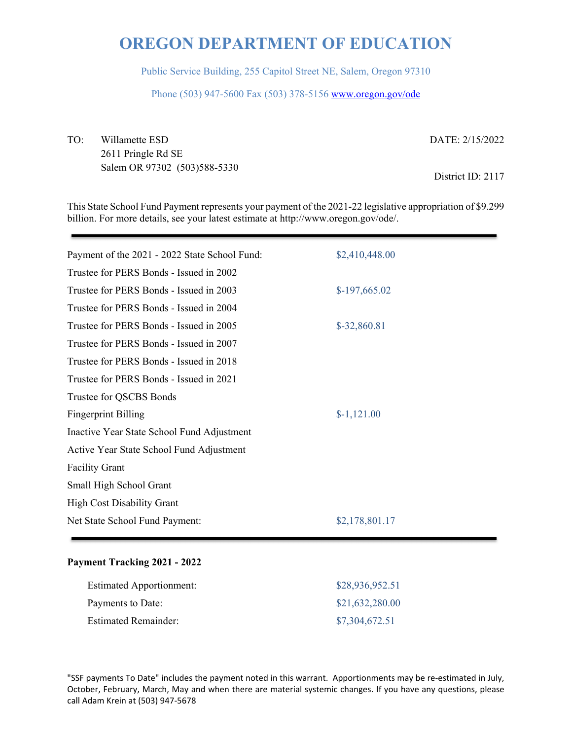Public Service Building, 255 Capitol Street NE, Salem, Oregon 97310

Phone (503) 947-5600 Fax (503) 378-5156 www.oregon.gov/ode

TO: Willamette ESD DATE: 2/15/2022 2611 Pringle Rd SE Salem OR 97302 (503)588-5330<br>
District ID: 2117

This State School Fund Payment represents your payment of the 2021-22 legislative appropriation of \$9.299 billion. For more details, see your latest estimate at http://www.oregon.gov/ode/.

| Payment of the 2021 - 2022 State School Fund: | \$2,410,448.00 |
|-----------------------------------------------|----------------|
| Trustee for PERS Bonds - Issued in 2002       |                |
| Trustee for PERS Bonds - Issued in 2003       | $$-197,665.02$ |
| Trustee for PERS Bonds - Issued in 2004       |                |
| Trustee for PERS Bonds - Issued in 2005       | \$-32,860.81   |
| Trustee for PERS Bonds - Issued in 2007       |                |
| Trustee for PERS Bonds - Issued in 2018       |                |
| Trustee for PERS Bonds - Issued in 2021       |                |
| Trustee for QSCBS Bonds                       |                |
| <b>Fingerprint Billing</b>                    | $$-1,121.00$   |
| Inactive Year State School Fund Adjustment    |                |
| Active Year State School Fund Adjustment      |                |
| <b>Facility Grant</b>                         |                |
| Small High School Grant                       |                |
| <b>High Cost Disability Grant</b>             |                |
| Net State School Fund Payment:                | \$2,178,801.17 |
|                                               |                |

### **Payment Tracking 2021 - 2022**

| <b>Estimated Apportionment:</b> | \$28,936,952.51 |
|---------------------------------|-----------------|
| Payments to Date:               | \$21,632,280.00 |
| <b>Estimated Remainder:</b>     | \$7,304,672.51  |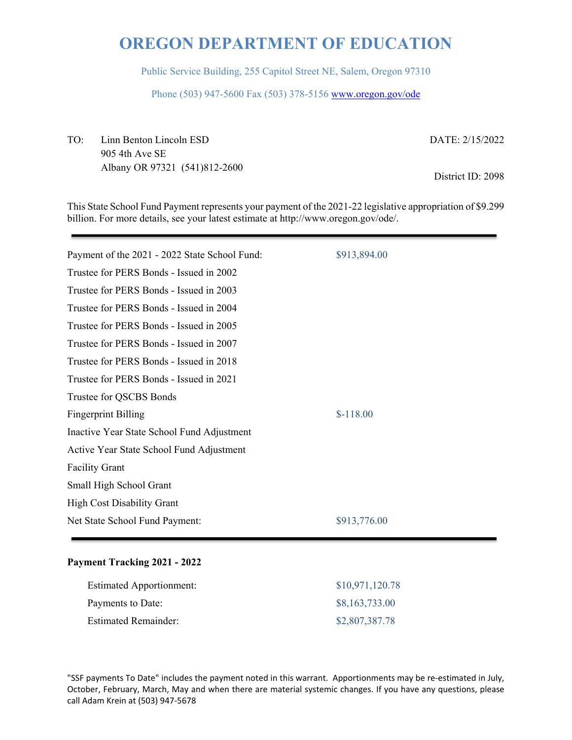Public Service Building, 255 Capitol Street NE, Salem, Oregon 97310

Phone (503) 947-5600 Fax (503) 378-5156 www.oregon.gov/ode

TO: Linn Benton Lincoln ESD DATE: 2/15/2022 905 4th Ave SE Albany OR 97321 (541)812-2600<br>
District ID: 2098

This State School Fund Payment represents your payment of the 2021-22 legislative appropriation of \$9.299 billion. For more details, see your latest estimate at http://www.oregon.gov/ode/.

| Payment of the 2021 - 2022 State School Fund: | \$913,894.00 |
|-----------------------------------------------|--------------|
| Trustee for PERS Bonds - Issued in 2002       |              |
| Trustee for PERS Bonds - Issued in 2003       |              |
| Trustee for PERS Bonds - Issued in 2004       |              |
| Trustee for PERS Bonds - Issued in 2005       |              |
| Trustee for PERS Bonds - Issued in 2007       |              |
| Trustee for PERS Bonds - Issued in 2018       |              |
| Trustee for PERS Bonds - Issued in 2021       |              |
| Trustee for QSCBS Bonds                       |              |
| <b>Fingerprint Billing</b>                    | $$-118.00$   |
| Inactive Year State School Fund Adjustment    |              |
| Active Year State School Fund Adjustment      |              |
| <b>Facility Grant</b>                         |              |
| Small High School Grant                       |              |
| <b>High Cost Disability Grant</b>             |              |
| Net State School Fund Payment:                | \$913,776.00 |
|                                               |              |

### **Payment Tracking 2021 - 2022**

| <b>Estimated Apportionment:</b> | \$10,971,120.78 |
|---------------------------------|-----------------|
| Payments to Date:               | \$8,163,733.00  |
| <b>Estimated Remainder:</b>     | \$2,807,387.78  |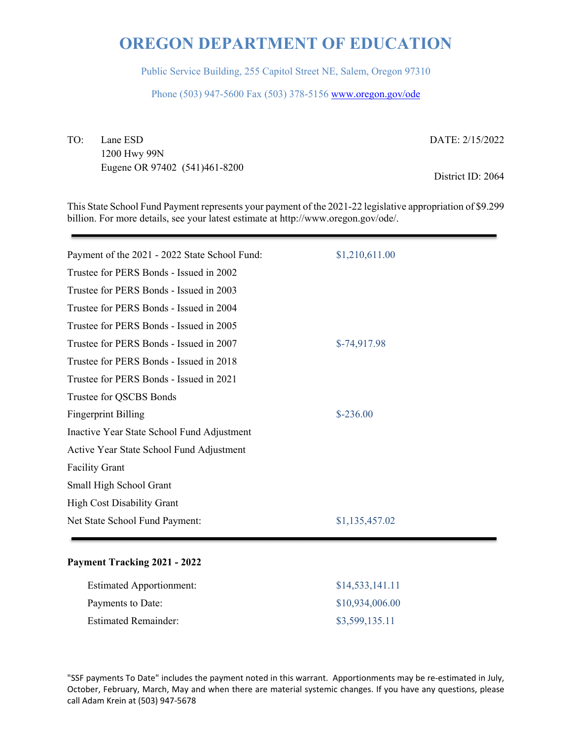Public Service Building, 255 Capitol Street NE, Salem, Oregon 97310

Phone (503) 947-5600 Fax (503) 378-5156 www.oregon.gov/ode

TO: Lane ESD DATE: 2/15/2022

1200 Hwy 99N Eugene OR 97402 (541)461-8200 District ID: 2064

This State School Fund Payment represents your payment of the 2021-22 legislative appropriation of \$9.299 billion. For more details, see your latest estimate at http://www.oregon.gov/ode/.

| Payment of the 2021 - 2022 State School Fund: | \$1,210,611.00 |
|-----------------------------------------------|----------------|
| Trustee for PERS Bonds - Issued in 2002       |                |
| Trustee for PERS Bonds - Issued in 2003       |                |
| Trustee for PERS Bonds - Issued in 2004       |                |
| Trustee for PERS Bonds - Issued in 2005       |                |
| Trustee for PERS Bonds - Issued in 2007       | $$-74,917.98$  |
| Trustee for PERS Bonds - Issued in 2018       |                |
| Trustee for PERS Bonds - Issued in 2021       |                |
| Trustee for QSCBS Bonds                       |                |
| <b>Fingerprint Billing</b>                    | $$-236.00$     |
| Inactive Year State School Fund Adjustment    |                |
| Active Year State School Fund Adjustment      |                |
| <b>Facility Grant</b>                         |                |
| Small High School Grant                       |                |
| <b>High Cost Disability Grant</b>             |                |
| Net State School Fund Payment:                | \$1,135,457.02 |
|                                               |                |

### **Payment Tracking 2021 - 2022**

| <b>Estimated Apportionment:</b> | \$14,533,141.11 |
|---------------------------------|-----------------|
| Payments to Date:               | \$10,934,006.00 |
| <b>Estimated Remainder:</b>     | \$3,599,135.11  |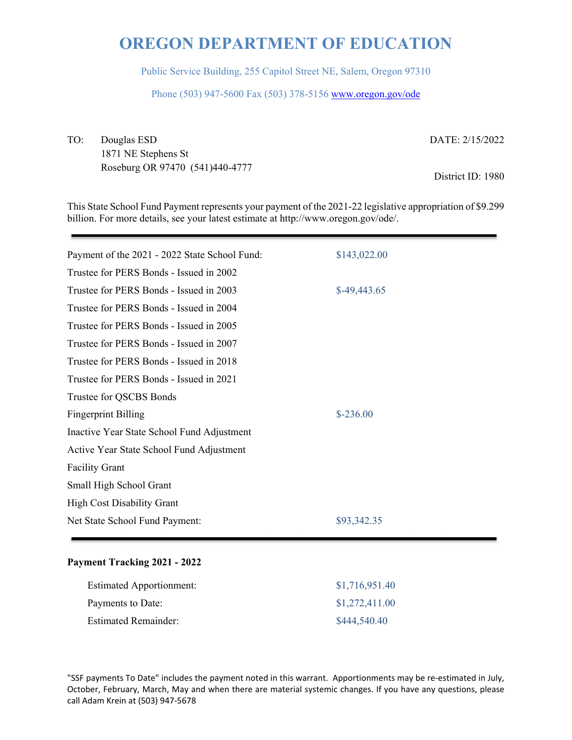Public Service Building, 255 Capitol Street NE, Salem, Oregon 97310

Phone (503) 947-5600 Fax (503) 378-5156 www.oregon.gov/ode

TO: Douglas ESD DATE: 2/15/2022 1871 NE Stephens St Roseburg OR 97470 (541)440-4777 District ID: 1980

This State School Fund Payment represents your payment of the 2021-22 legislative appropriation of \$9.299 billion. For more details, see your latest estimate at http://www.oregon.gov/ode/.

| Payment of the 2021 - 2022 State School Fund: | \$143,022.00  |
|-----------------------------------------------|---------------|
| Trustee for PERS Bonds - Issued in 2002       |               |
| Trustee for PERS Bonds - Issued in 2003       | $$-49,443.65$ |
| Trustee for PERS Bonds - Issued in 2004       |               |
| Trustee for PERS Bonds - Issued in 2005       |               |
| Trustee for PERS Bonds - Issued in 2007       |               |
| Trustee for PERS Bonds - Issued in 2018       |               |
| Trustee for PERS Bonds - Issued in 2021       |               |
| Trustee for QSCBS Bonds                       |               |
| <b>Fingerprint Billing</b>                    | $$-236.00$    |
| Inactive Year State School Fund Adjustment    |               |
| Active Year State School Fund Adjustment      |               |
| <b>Facility Grant</b>                         |               |
| Small High School Grant                       |               |
| <b>High Cost Disability Grant</b>             |               |
| Net State School Fund Payment:                | \$93,342.35   |
|                                               |               |

### **Payment Tracking 2021 - 2022**

| <b>Estimated Apportionment:</b> | \$1,716,951.40 |
|---------------------------------|----------------|
| Payments to Date:               | \$1,272,411.00 |
| <b>Estimated Remainder:</b>     | \$444,540.40   |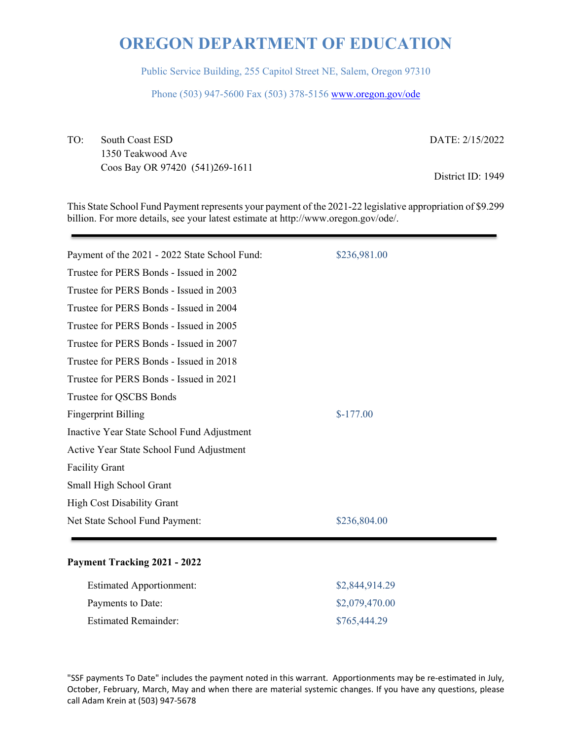Public Service Building, 255 Capitol Street NE, Salem, Oregon 97310

Phone (503) 947-5600 Fax (503) 378-5156 www.oregon.gov/ode

TO: South Coast ESD DATE: 2/15/2022 1350 Teakwood Ave Coos Bay OR 97420 (541)269-1611 District ID: 1949

This State School Fund Payment represents your payment of the 2021-22 legislative appropriation of \$9.299 billion. For more details, see your latest estimate at http://www.oregon.gov/ode/.

| Payment of the 2021 - 2022 State School Fund: | \$236,981.00 |
|-----------------------------------------------|--------------|
| Trustee for PERS Bonds - Issued in 2002       |              |
| Trustee for PERS Bonds - Issued in 2003       |              |
| Trustee for PERS Bonds - Issued in 2004       |              |
| Trustee for PERS Bonds - Issued in 2005       |              |
| Trustee for PERS Bonds - Issued in 2007       |              |
| Trustee for PERS Bonds - Issued in 2018       |              |
| Trustee for PERS Bonds - Issued in 2021       |              |
| Trustee for QSCBS Bonds                       |              |
| <b>Fingerprint Billing</b>                    | $$-177.00$   |
| Inactive Year State School Fund Adjustment    |              |
| Active Year State School Fund Adjustment      |              |
| <b>Facility Grant</b>                         |              |
| Small High School Grant                       |              |
| <b>High Cost Disability Grant</b>             |              |
| Net State School Fund Payment:                | \$236,804.00 |

### **Payment Tracking 2021 - 2022**

| <b>Estimated Apportionment:</b> | \$2,844,914.29 |
|---------------------------------|----------------|
| Payments to Date:               | \$2,079,470.00 |
| <b>Estimated Remainder:</b>     | \$765,444.29   |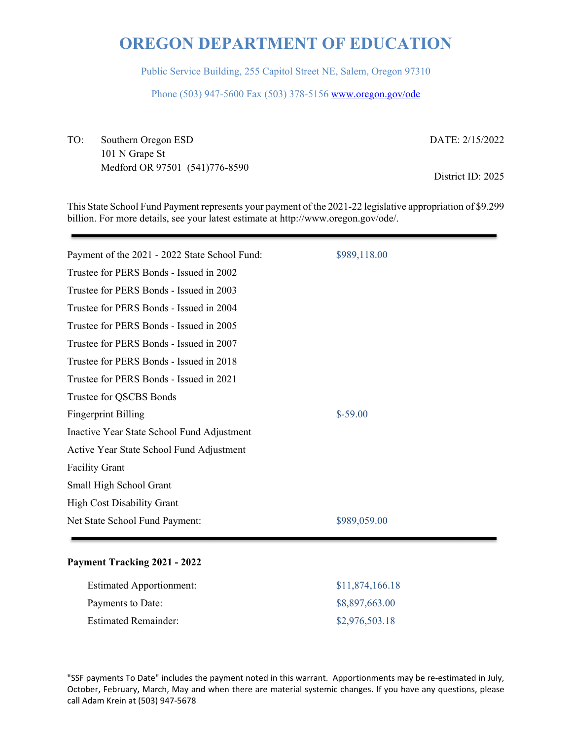Public Service Building, 255 Capitol Street NE, Salem, Oregon 97310

Phone (503) 947-5600 Fax (503) 378-5156 www.oregon.gov/ode

TO: Southern Oregon ESD DATE: 2/15/2022 101 N Grape St Medford OR 97501 (541)776-8590 District ID: 2025

This State School Fund Payment represents your payment of the 2021-22 legislative appropriation of \$9.299 billion. For more details, see your latest estimate at http://www.oregon.gov/ode/.

| Payment of the 2021 - 2022 State School Fund: | \$989,118.00 |
|-----------------------------------------------|--------------|
| Trustee for PERS Bonds - Issued in 2002       |              |
| Trustee for PERS Bonds - Issued in 2003       |              |
| Trustee for PERS Bonds - Issued in 2004       |              |
| Trustee for PERS Bonds - Issued in 2005       |              |
| Trustee for PERS Bonds - Issued in 2007       |              |
| Trustee for PERS Bonds - Issued in 2018       |              |
| Trustee for PERS Bonds - Issued in 2021       |              |
| Trustee for QSCBS Bonds                       |              |
| <b>Fingerprint Billing</b>                    | $$-59.00$    |
| Inactive Year State School Fund Adjustment    |              |
| Active Year State School Fund Adjustment      |              |
| <b>Facility Grant</b>                         |              |
| Small High School Grant                       |              |
| <b>High Cost Disability Grant</b>             |              |
| Net State School Fund Payment:                | \$989,059.00 |
|                                               |              |

### **Payment Tracking 2021 - 2022**

| <b>Estimated Apportionment:</b> | \$11,874,166.18 |
|---------------------------------|-----------------|
| Payments to Date:               | \$8,897,663.00  |
| <b>Estimated Remainder:</b>     | \$2,976,503.18  |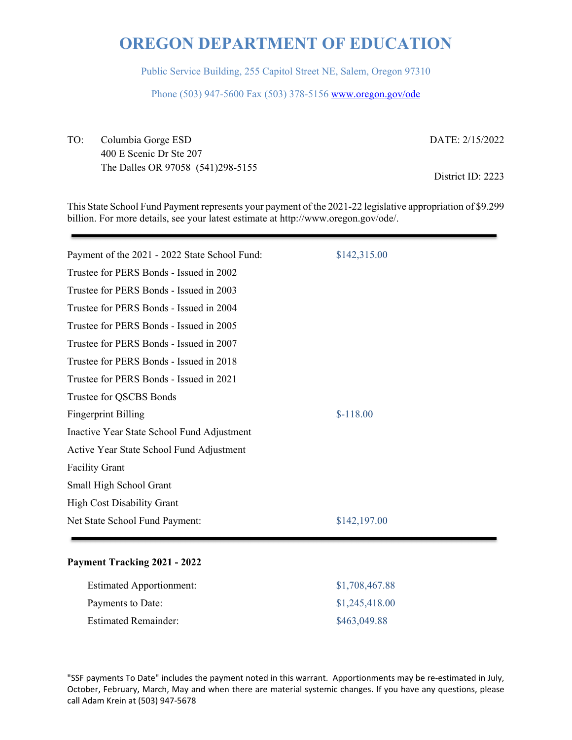Public Service Building, 255 Capitol Street NE, Salem, Oregon 97310

Phone (503) 947-5600 Fax (503) 378-5156 www.oregon.gov/ode

TO: Columbia Gorge ESD DATE: 2/15/2022 400 E Scenic Dr Ste 207 The Dalles OR 97058 (541)298-5155 District ID: 2223

This State School Fund Payment represents your payment of the 2021-22 legislative appropriation of \$9.299 billion. For more details, see your latest estimate at http://www.oregon.gov/ode/.

| Payment of the 2021 - 2022 State School Fund: | \$142,315.00 |
|-----------------------------------------------|--------------|
| Trustee for PERS Bonds - Issued in 2002       |              |
| Trustee for PERS Bonds - Issued in 2003       |              |
| Trustee for PERS Bonds - Issued in 2004       |              |
| Trustee for PERS Bonds - Issued in 2005       |              |
| Trustee for PERS Bonds - Issued in 2007       |              |
| Trustee for PERS Bonds - Issued in 2018       |              |
| Trustee for PERS Bonds - Issued in 2021       |              |
| Trustee for QSCBS Bonds                       |              |
| <b>Fingerprint Billing</b>                    | $$-118.00$   |
| Inactive Year State School Fund Adjustment    |              |
| Active Year State School Fund Adjustment      |              |
| <b>Facility Grant</b>                         |              |
| Small High School Grant                       |              |
| <b>High Cost Disability Grant</b>             |              |
| Net State School Fund Payment:                | \$142,197.00 |
|                                               |              |

#### **Payment Tracking 2021 - 2022**

| <b>Estimated Apportionment:</b> | \$1,708,467.88 |
|---------------------------------|----------------|
| Payments to Date:               | \$1,245,418.00 |
| <b>Estimated Remainder:</b>     | \$463,049.88   |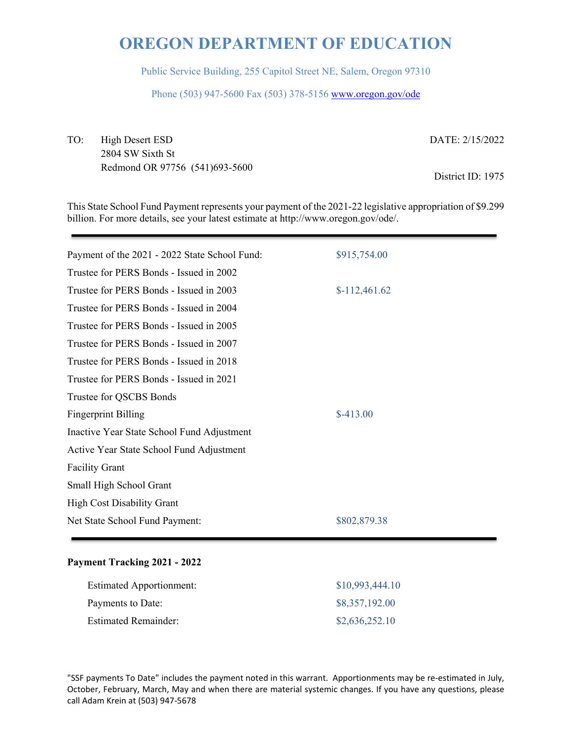Public Service Building, 255 Capitol Street NE, Salem, Oregon 97310

Phone (503) 947-5600 Fax (503) 378-5156 www.oregon.gov/ode

TO: High Desert ESD DATE: 2/15/2022 2804 SW Sixth St Redmond OR 97756 (541)693-5600<br>District ID: 1975

This State School Fund Payment represents your payment of the 2021-22 legislative appropriation of \$9.299 billion. For more details, see your latest estimate at http://www.oregon.gov/ode/.

| Payment of the 2021 - 2022 State School Fund: | \$915,754.00   |
|-----------------------------------------------|----------------|
| Trustee for PERS Bonds - Issued in 2002       |                |
| Trustee for PERS Bonds - Issued in 2003       | $$-112,461.62$ |
| Trustee for PERS Bonds - Issued in 2004       |                |
| Trustee for PERS Bonds - Issued in 2005       |                |
| Trustee for PERS Bonds - Issued in 2007       |                |
| Trustee for PERS Bonds - Issued in 2018       |                |
| Trustee for PERS Bonds - Issued in 2021       |                |
| Trustee for QSCBS Bonds                       |                |
| <b>Fingerprint Billing</b>                    | $$-413.00$     |
| Inactive Year State School Fund Adjustment    |                |
| Active Year State School Fund Adjustment      |                |
| <b>Facility Grant</b>                         |                |
| Small High School Grant                       |                |
| <b>High Cost Disability Grant</b>             |                |
| Net State School Fund Payment:                | \$802,879.38   |
|                                               |                |

### **Payment Tracking 2021 - 2022**

| <b>Estimated Apportionment:</b> | \$10,993,444.10 |
|---------------------------------|-----------------|
| Payments to Date:               | \$8,357,192.00  |
| <b>Estimated Remainder:</b>     | \$2,636,252.10  |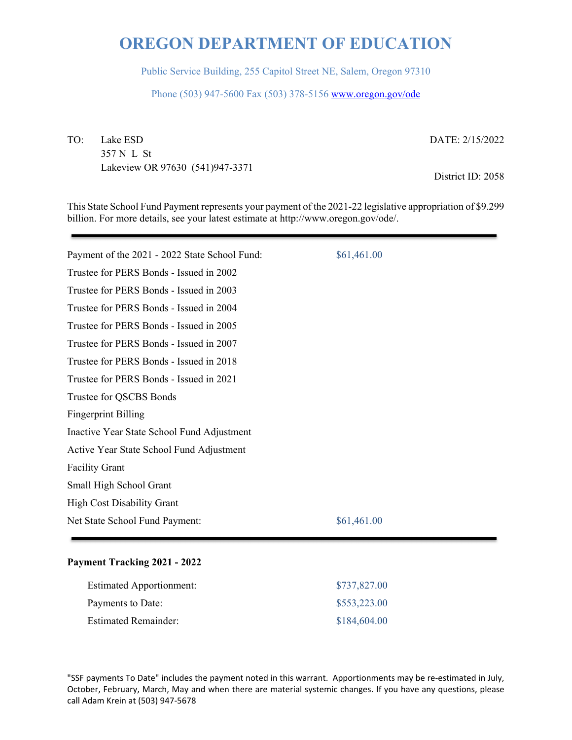Public Service Building, 255 Capitol Street NE, Salem, Oregon 97310

Phone (503) 947-5600 Fax (503) 378-5156 www.oregon.gov/ode

TO: Lake ESD DATE: 2/15/2022 357 N L St Lakeview OR 97630 (541)947-3371 District ID: 2058

This State School Fund Payment represents your payment of the 2021-22 legislative appropriation of \$9.299 billion. For more details, see your latest estimate at http://www.oregon.gov/ode/.

| Payment of the 2021 - 2022 State School Fund: | \$61,461.00 |
|-----------------------------------------------|-------------|
| Trustee for PERS Bonds - Issued in 2002       |             |
| Trustee for PERS Bonds - Issued in 2003       |             |
| Trustee for PERS Bonds - Issued in 2004       |             |
| Trustee for PERS Bonds - Issued in 2005       |             |
| Trustee for PERS Bonds - Issued in 2007       |             |
| Trustee for PERS Bonds - Issued in 2018       |             |
| Trustee for PERS Bonds - Issued in 2021       |             |
| Trustee for QSCBS Bonds                       |             |
| <b>Fingerprint Billing</b>                    |             |
| Inactive Year State School Fund Adjustment    |             |
| Active Year State School Fund Adjustment      |             |
| <b>Facility Grant</b>                         |             |
| Small High School Grant                       |             |
| <b>High Cost Disability Grant</b>             |             |
| Net State School Fund Payment:                | \$61,461.00 |
|                                               |             |

### **Payment Tracking 2021 - 2022**

| <b>Estimated Apportionment:</b> | \$737,827.00 |
|---------------------------------|--------------|
| Payments to Date:               | \$553,223.00 |
| <b>Estimated Remainder:</b>     | \$184,604.00 |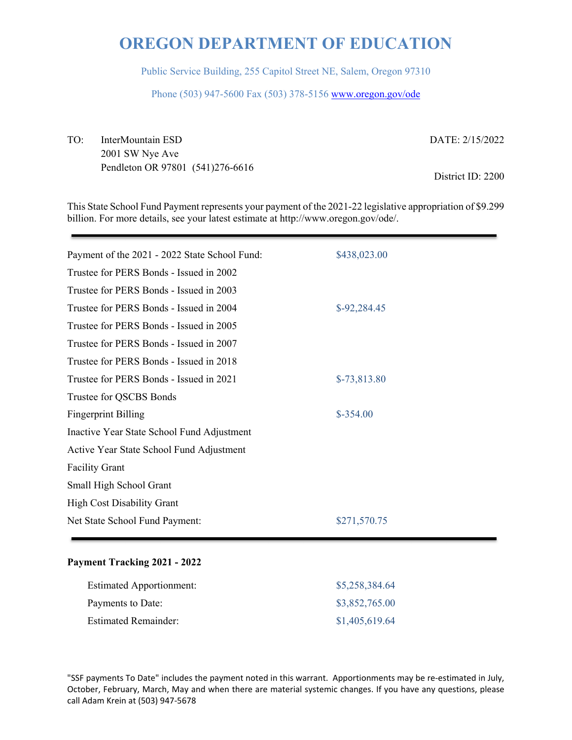Public Service Building, 255 Capitol Street NE, Salem, Oregon 97310

Phone (503) 947-5600 Fax (503) 378-5156 www.oregon.gov/ode

TO: InterMountain ESD DATE: 2/15/2022 2001 SW Nye Ave Pendleton OR 97801 (541)276-6616 District ID: 2200

This State School Fund Payment represents your payment of the 2021-22 legislative appropriation of \$9.299 billion. For more details, see your latest estimate at http://www.oregon.gov/ode/.

| Payment of the 2021 - 2022 State School Fund: | \$438,023.00  |  |
|-----------------------------------------------|---------------|--|
| Trustee for PERS Bonds - Issued in 2002       |               |  |
| Trustee for PERS Bonds - Issued in 2003       |               |  |
| Trustee for PERS Bonds - Issued in 2004       | $$-92,284.45$ |  |
| Trustee for PERS Bonds - Issued in 2005       |               |  |
| Trustee for PERS Bonds - Issued in 2007       |               |  |
| Trustee for PERS Bonds - Issued in 2018       |               |  |
| Trustee for PERS Bonds - Issued in 2021       | $$-73,813.80$ |  |
| Trustee for QSCBS Bonds                       |               |  |
| <b>Fingerprint Billing</b>                    | $$-354.00$    |  |
| Inactive Year State School Fund Adjustment    |               |  |
| Active Year State School Fund Adjustment      |               |  |
| <b>Facility Grant</b>                         |               |  |
| Small High School Grant                       |               |  |
| <b>High Cost Disability Grant</b>             |               |  |
| Net State School Fund Payment:                | \$271,570.75  |  |
|                                               |               |  |

### **Payment Tracking 2021 - 2022**

| <b>Estimated Apportionment:</b> | \$5,258,384.64 |
|---------------------------------|----------------|
| Payments to Date:               | \$3,852,765.00 |
| <b>Estimated Remainder:</b>     | \$1,405,619.64 |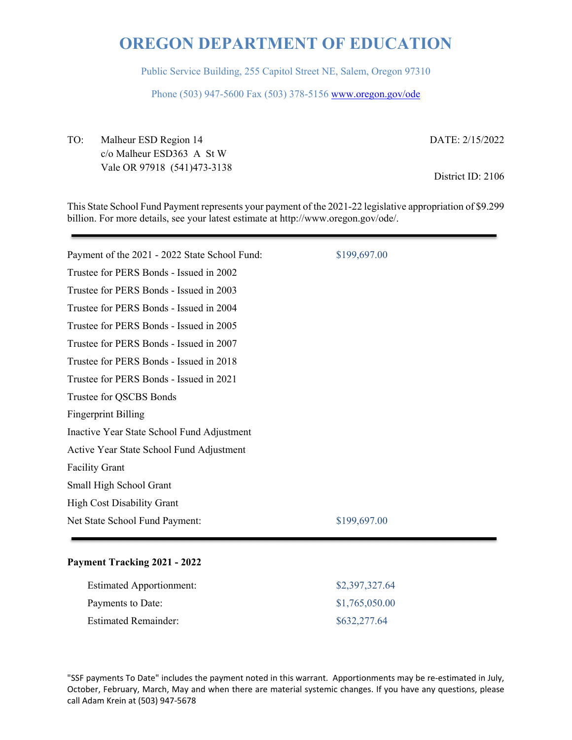Public Service Building, 255 Capitol Street NE, Salem, Oregon 97310

Phone (503) 947-5600 Fax (503) 378-5156 www.oregon.gov/ode

TO: Malheur ESD Region 14 DATE: 2/15/2022 c/o Malheur ESD363 A St W Vale OR 97918 (541)473-3138 District ID: 2106

This State School Fund Payment represents your payment of the 2021-22 legislative appropriation of \$9.299 billion. For more details, see your latest estimate at http://www.oregon.gov/ode/.

| Payment of the 2021 - 2022 State School Fund: | \$199,697.00 |
|-----------------------------------------------|--------------|
| Trustee for PERS Bonds - Issued in 2002       |              |
| Trustee for PERS Bonds - Issued in 2003       |              |
| Trustee for PERS Bonds - Issued in 2004       |              |
| Trustee for PERS Bonds - Issued in 2005       |              |
| Trustee for PERS Bonds - Issued in 2007       |              |
| Trustee for PERS Bonds - Issued in 2018       |              |
| Trustee for PERS Bonds - Issued in 2021       |              |
| Trustee for QSCBS Bonds                       |              |
| <b>Fingerprint Billing</b>                    |              |
| Inactive Year State School Fund Adjustment    |              |
| Active Year State School Fund Adjustment      |              |
| <b>Facility Grant</b>                         |              |
| Small High School Grant                       |              |
| <b>High Cost Disability Grant</b>             |              |
| Net State School Fund Payment:                | \$199,697.00 |
|                                               |              |

### **Payment Tracking 2021 - 2022**

| <b>Estimated Apportionment:</b> | \$2,397,327.64 |
|---------------------------------|----------------|
| Payments to Date:               | \$1,765,050.00 |
| <b>Estimated Remainder:</b>     | \$632,277.64   |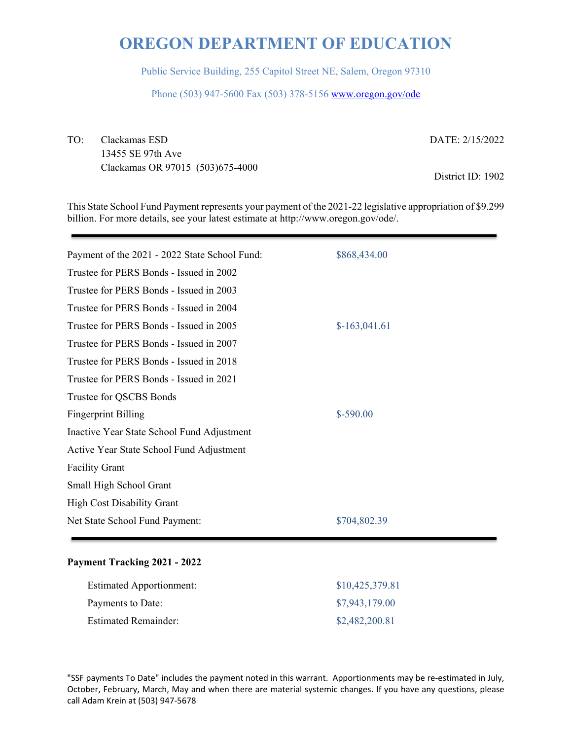Public Service Building, 255 Capitol Street NE, Salem, Oregon 97310

Phone (503) 947-5600 Fax (503) 378-5156 www.oregon.gov/ode

TO: Clackamas ESD DATE: 2/15/2022 13455 SE 97th Ave Clackamas OR 97015 (503)675-4000 District ID: 1902

This State School Fund Payment represents your payment of the 2021-22 legislative appropriation of \$9.299 billion. For more details, see your latest estimate at http://www.oregon.gov/ode/.

| Payment of the 2021 - 2022 State School Fund: | \$868,434.00   |
|-----------------------------------------------|----------------|
| Trustee for PERS Bonds - Issued in 2002       |                |
| Trustee for PERS Bonds - Issued in 2003       |                |
| Trustee for PERS Bonds - Issued in 2004       |                |
| Trustee for PERS Bonds - Issued in 2005       | $$-163,041.61$ |
| Trustee for PERS Bonds - Issued in 2007       |                |
| Trustee for PERS Bonds - Issued in 2018       |                |
| Trustee for PERS Bonds - Issued in 2021       |                |
| Trustee for QSCBS Bonds                       |                |
| <b>Fingerprint Billing</b>                    | $$-590.00$     |
| Inactive Year State School Fund Adjustment    |                |
| Active Year State School Fund Adjustment      |                |
| <b>Facility Grant</b>                         |                |
| Small High School Grant                       |                |
| <b>High Cost Disability Grant</b>             |                |
| Net State School Fund Payment:                | \$704,802.39   |
|                                               |                |

### **Payment Tracking 2021 - 2022**

| <b>Estimated Apportionment:</b> | \$10,425,379.81 |
|---------------------------------|-----------------|
| Payments to Date:               | \$7,943,179.00  |
| <b>Estimated Remainder:</b>     | \$2,482,200.81  |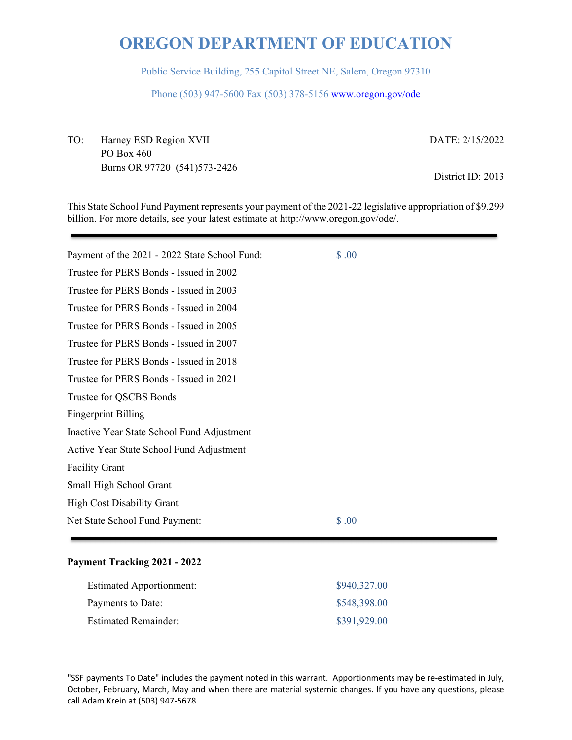Public Service Building, 255 Capitol Street NE, Salem, Oregon 97310

Phone (503) 947-5600 Fax (503) 378-5156 www.oregon.gov/ode

TO: Harney ESD Region XVII DATE: 2/15/2022 PO Box 460 Burns OR 97720 (541)573-2426 District ID: 2013

This State School Fund Payment represents your payment of the 2021-22 legislative appropriation of \$9.299 billion. For more details, see your latest estimate at http://www.oregon.gov/ode/.

| Payment of the 2021 - 2022 State School Fund: | \$.00 |
|-----------------------------------------------|-------|
| Trustee for PERS Bonds - Issued in 2002       |       |
| Trustee for PERS Bonds - Issued in 2003       |       |
| Trustee for PERS Bonds - Issued in 2004       |       |
| Trustee for PERS Bonds - Issued in 2005       |       |
| Trustee for PERS Bonds - Issued in 2007       |       |
| Trustee for PERS Bonds - Issued in 2018       |       |
| Trustee for PERS Bonds - Issued in 2021       |       |
| Trustee for QSCBS Bonds                       |       |
| <b>Fingerprint Billing</b>                    |       |
| Inactive Year State School Fund Adjustment    |       |
| Active Year State School Fund Adjustment      |       |
| <b>Facility Grant</b>                         |       |
| Small High School Grant                       |       |
| <b>High Cost Disability Grant</b>             |       |
| Net State School Fund Payment:                | \$.00 |
|                                               |       |

### **Payment Tracking 2021 - 2022**

| <b>Estimated Apportionment:</b> | \$940,327.00 |
|---------------------------------|--------------|
| Payments to Date:               | \$548,398.00 |
| <b>Estimated Remainder:</b>     | \$391,929.00 |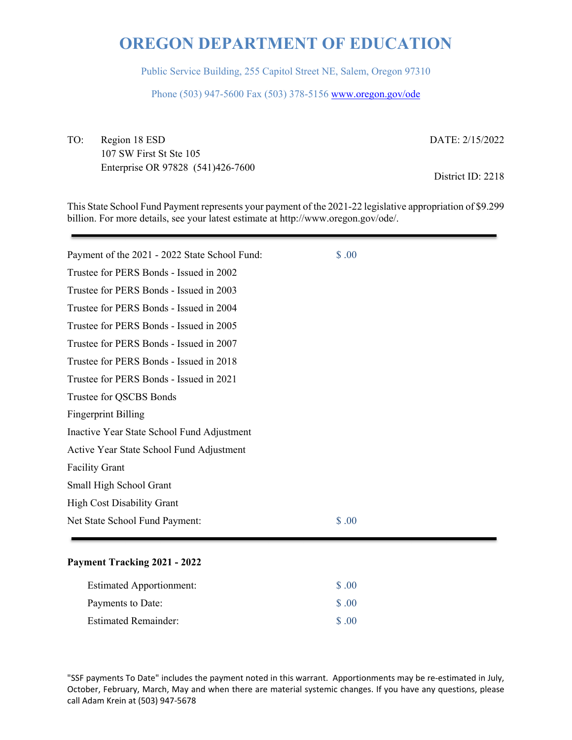Public Service Building, 255 Capitol Street NE, Salem, Oregon 97310

Phone (503) 947-5600 Fax (503) 378-5156 www.oregon.gov/ode

TO: Region 18 ESD DATE: 2/15/2022 107 SW First St Ste 105 Enterprise OR 97828 (541)426-7600 District ID: 2218

This State School Fund Payment represents your payment of the 2021-22 legislative appropriation of \$9.299 billion. For more details, see your latest estimate at http://www.oregon.gov/ode/.

| Payment of the 2021 - 2022 State School Fund: | \$.00 |
|-----------------------------------------------|-------|
| Trustee for PERS Bonds - Issued in 2002       |       |
| Trustee for PERS Bonds - Issued in 2003       |       |
| Trustee for PERS Bonds - Issued in 2004       |       |
| Trustee for PERS Bonds - Issued in 2005       |       |
| Trustee for PERS Bonds - Issued in 2007       |       |
| Trustee for PERS Bonds - Issued in 2018       |       |
| Trustee for PERS Bonds - Issued in 2021       |       |
| Trustee for QSCBS Bonds                       |       |
| <b>Fingerprint Billing</b>                    |       |
| Inactive Year State School Fund Adjustment    |       |
| Active Year State School Fund Adjustment      |       |
| <b>Facility Grant</b>                         |       |
| Small High School Grant                       |       |
| <b>High Cost Disability Grant</b>             |       |
| Net State School Fund Payment:                | \$.00 |

### **Payment Tracking 2021 - 2022**

| <b>Estimated Apportionment:</b> | \$ .00            |
|---------------------------------|-------------------|
| Payments to Date:               | $\Omega$ $\Omega$ |
| <b>Estimated Remainder:</b>     | $\Omega$ $\Omega$ |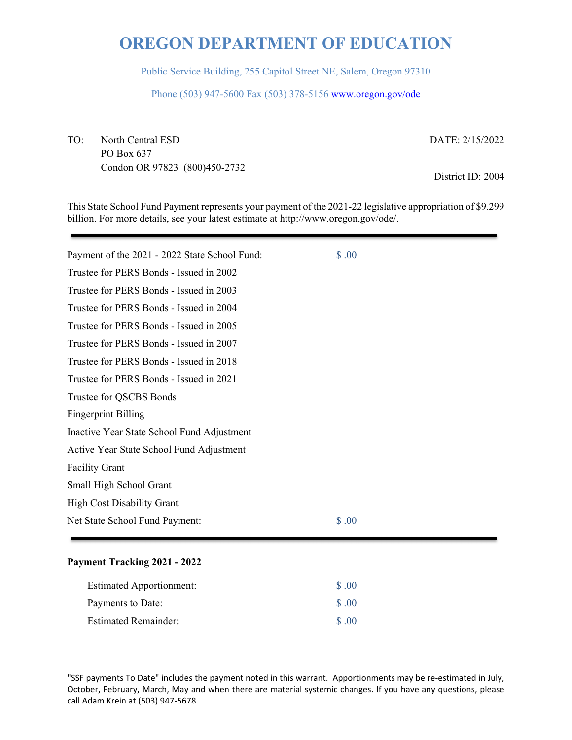Public Service Building, 255 Capitol Street NE, Salem, Oregon 97310

Phone (503) 947-5600 Fax (503) 378-5156 www.oregon.gov/ode

TO: North Central ESD DATE: 2/15/2022 PO Box 637 Condon OR 97823 (800)450-2732 District ID: 2004

This State School Fund Payment represents your payment of the 2021-22 legislative appropriation of \$9.299 billion. For more details, see your latest estimate at http://www.oregon.gov/ode/.

| Payment of the 2021 - 2022 State School Fund: | \$.00 |
|-----------------------------------------------|-------|
| Trustee for PERS Bonds - Issued in 2002       |       |
| Trustee for PERS Bonds - Issued in 2003       |       |
| Trustee for PERS Bonds - Issued in 2004       |       |
| Trustee for PERS Bonds - Issued in 2005       |       |
| Trustee for PERS Bonds - Issued in 2007       |       |
| Trustee for PERS Bonds - Issued in 2018       |       |
| Trustee for PERS Bonds - Issued in 2021       |       |
| Trustee for QSCBS Bonds                       |       |
| <b>Fingerprint Billing</b>                    |       |
| Inactive Year State School Fund Adjustment    |       |
| Active Year State School Fund Adjustment      |       |
| <b>Facility Grant</b>                         |       |
| Small High School Grant                       |       |
| <b>High Cost Disability Grant</b>             |       |
| Net State School Fund Payment:                | \$.00 |

### **Payment Tracking 2021 - 2022**

| <b>Estimated Apportionment:</b> | \$ .00            |
|---------------------------------|-------------------|
| Payments to Date:               | $\text{S}$ .00    |
| <b>Estimated Remainder:</b>     | $\Omega$ $\Omega$ |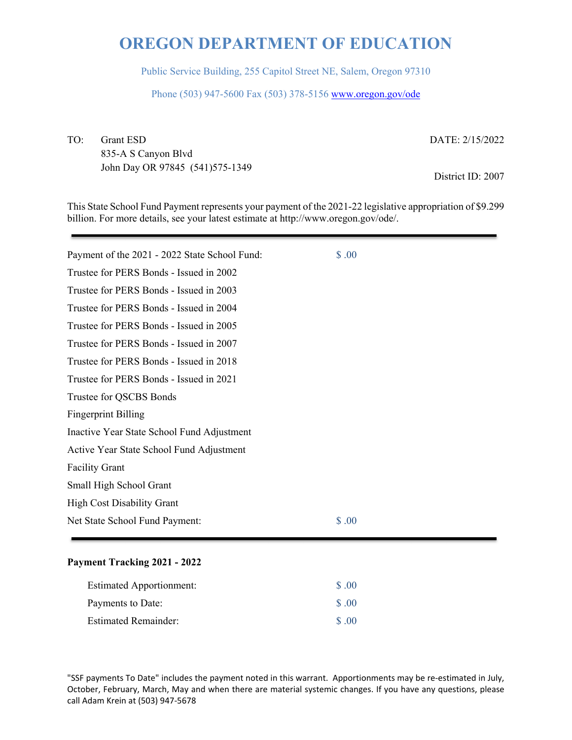Public Service Building, 255 Capitol Street NE, Salem, Oregon 97310

Phone (503) 947-5600 Fax (503) 378-5156 www.oregon.gov/ode

TO: Grant ESD DATE: 2/15/2022 835-A S Canyon Blvd John Day OR 97845 (541)575-1349 District ID: 2007

This State School Fund Payment represents your payment of the 2021-22 legislative appropriation of \$9.299 billion. For more details, see your latest estimate at http://www.oregon.gov/ode/.

| Payment of the 2021 - 2022 State School Fund: | \$.00 |
|-----------------------------------------------|-------|
| Trustee for PERS Bonds - Issued in 2002       |       |
| Trustee for PERS Bonds - Issued in 2003       |       |
| Trustee for PERS Bonds - Issued in 2004       |       |
| Trustee for PERS Bonds - Issued in 2005       |       |
| Trustee for PERS Bonds - Issued in 2007       |       |
| Trustee for PERS Bonds - Issued in 2018       |       |
| Trustee for PERS Bonds - Issued in 2021       |       |
| Trustee for QSCBS Bonds                       |       |
| <b>Fingerprint Billing</b>                    |       |
| Inactive Year State School Fund Adjustment    |       |
| Active Year State School Fund Adjustment      |       |
| <b>Facility Grant</b>                         |       |
| Small High School Grant                       |       |
| <b>High Cost Disability Grant</b>             |       |
| Net State School Fund Payment:                | \$.00 |

#### **Payment Tracking 2021 - 2022**

| <b>Estimated Apportionment:</b> | $\text{S}$ .00    |
|---------------------------------|-------------------|
| Payments to Date:               | $\Omega$ $\Omega$ |
| <b>Estimated Remainder:</b>     | $\Omega$ $\Omega$ |